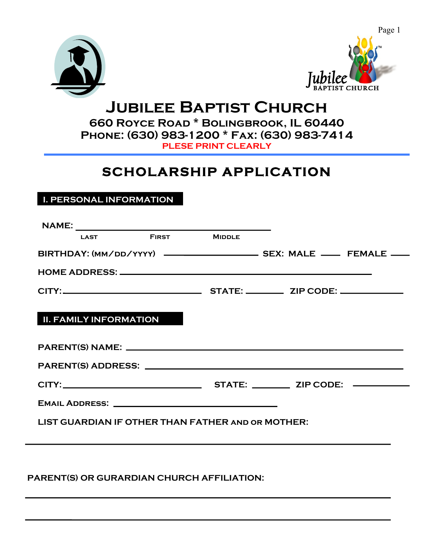



# **Jubilee Baptist Church**

**660 Royce Road \* Bolingbrook, IL 60440 Phone: (630) 983-1200 \* Fax: (630) 983-7414 PLESE PRINT CLEARLY**

## **SCHOLARSHIP APPLICATION**

### **I. PERSONAL INFORMATION**

| <b>FIRST MIDDLE</b><br><b>LAST Example 2014</b>   |  |  |  |  |
|---------------------------------------------------|--|--|--|--|
|                                                   |  |  |  |  |
|                                                   |  |  |  |  |
|                                                   |  |  |  |  |
| <b>II. FAMILY INFORMATION</b>                     |  |  |  |  |
|                                                   |  |  |  |  |
|                                                   |  |  |  |  |
|                                                   |  |  |  |  |
|                                                   |  |  |  |  |
| LIST GUARDIAN IF OTHER THAN FATHER AND OR MOTHER: |  |  |  |  |
|                                                   |  |  |  |  |
|                                                   |  |  |  |  |

#### **PARENT(S) OR GURARDIAN CHURCH AFFILIATION:**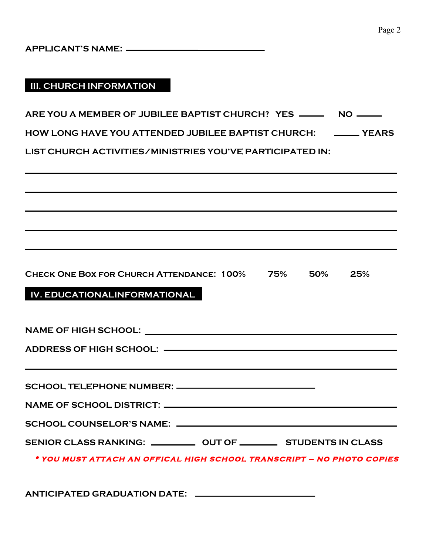#### **III. CHURCH INFORMATION**

| ARE YOU A MEMBER OF JUBILEE BAPTIST CHURCH? YES _____ |  |
|-------------------------------------------------------|--|
|                                                       |  |

**HOW LONG HAVE YOU ATTENDED JUBILEE BAPTIST CHURCH: YEARS**

**LIST CHURCH ACTIVITIES/MINISTRIES YOU'VE PARTICIPATED IN:**

| <b>CHECK ONE BOX FOR CHURCH ATTENDANCE: 100%</b> | 75% | 50% | 25% |
|--------------------------------------------------|-----|-----|-----|
|                                                  |     |     |     |

#### **IV. EDUCATIONALINFORMATIONAL**

| ADDRESS OF HIGH SCHOOL: —————————————————————————                                        |  |
|------------------------------------------------------------------------------------------|--|
| <b>这个人的人都是不是一个人的人,我们也不是一个人的人,我们也不是一个人的人,我们也不是一个人的人,我们也不是一个人的人,我们也不是一个人的人,我们</b> 也不是一个人的人 |  |
| SCHOOL TELEPHONE NUMBER: _____________________________                                   |  |
|                                                                                          |  |
|                                                                                          |  |
| SENIOR CLASS RANKING: ____________ OUT OF ____________ STUDENTS IN CLASS                 |  |
| * YOU MUST ATTACH AN OFFICAL HIGH SCHOOL TRANSCRIPT – NO PHOTO COPIES                    |  |

**ANTICIPATED GRADUATION DATE:**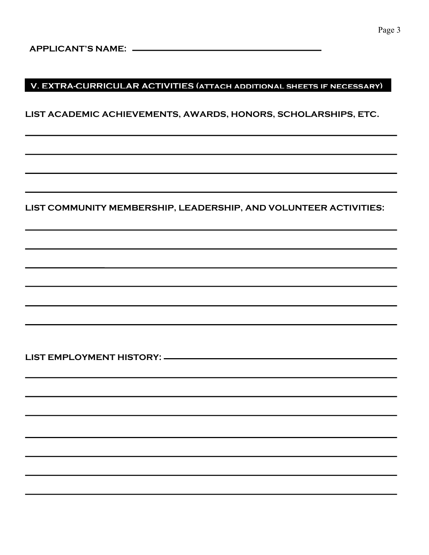#### **V. EXTRA-CURRICULAR ACTIVITIES (attach additional sheets if necessary)**

**LIST ACADEMIC ACHIEVEMENTS, AWARDS, HONORS, SCHOLARSHIPS, ETC.**

**LIST COMMUNITY MEMBERSHIP, LEADERSHIP, AND VOLUNTEER ACTIVITIES:**

**LIST EMPLOYMENT HISTORY:**